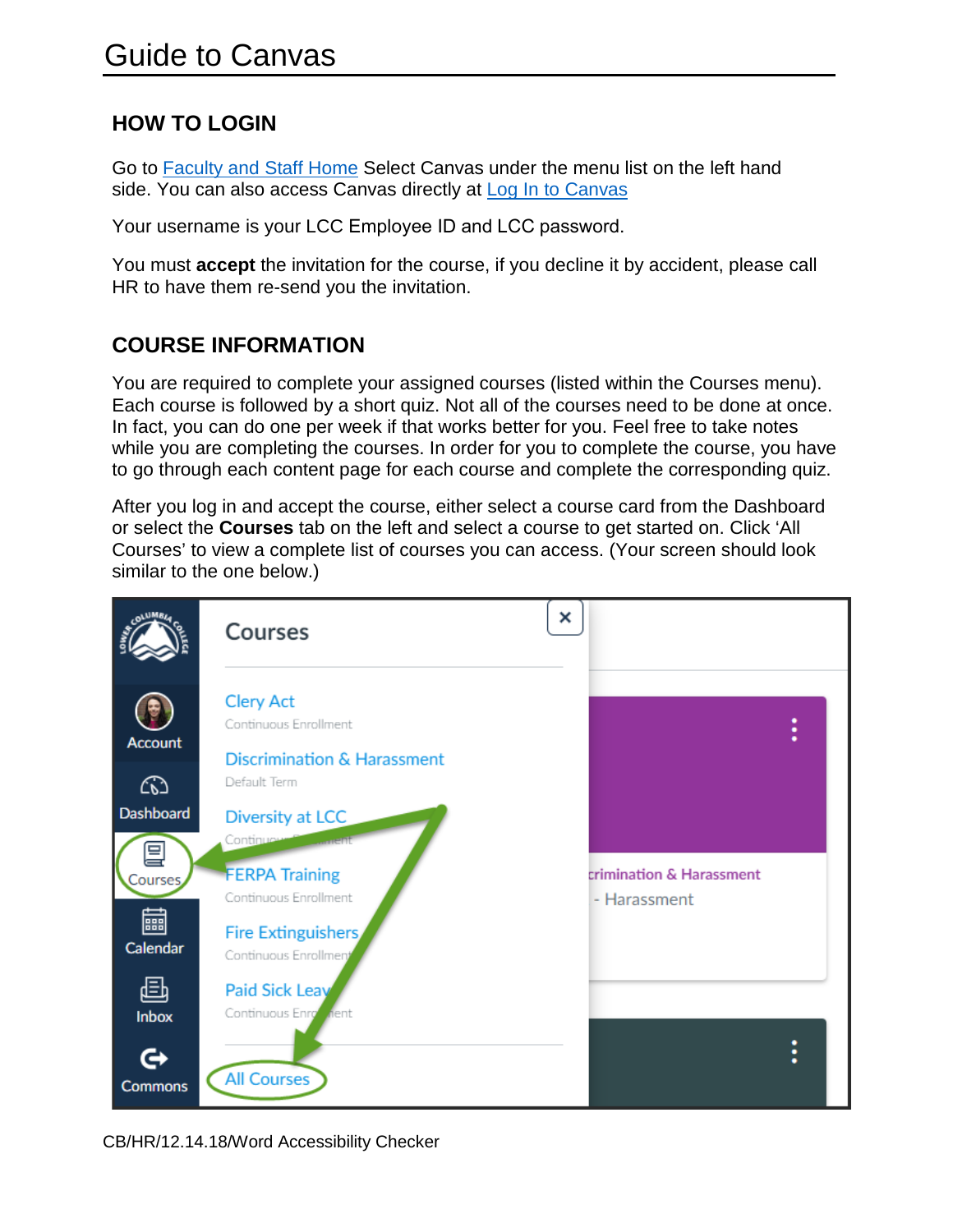## **HOW TO LOGIN**

Go to **Faculty and Staff Home** Select Canvas under the menu list on the left hand side. You can also access Canvas directly at [Log In to Canvas](https://lcc.instructure.com/login/canvas)

Your username is your LCC Employee ID and L[CC password.](mailto:sorth@lcc.ctc.edu)

You must **accept** the invitation for the course, if you decline it by accident, please call HR to have them re-send you the invitation.

## **COURSE INFORMATION**

You are required to complete your assigned courses (listed within the Courses menu). Each course is followed by a short quiz. Not all of the courses need to be done at once. In fact, you can do one per week if that works better for you. Feel free to take notes while you are completing the courses. In order for you to complete the course, you have to go through each content page for each course and complete the corresponding quiz.

After you log in and accept the course, either select a course card from the Dashboard or select the **Courses** tab on the left and select a course to get started on. Click 'All Courses' to view a complete list of courses you can access. (Your screen should look similar to the one below.)

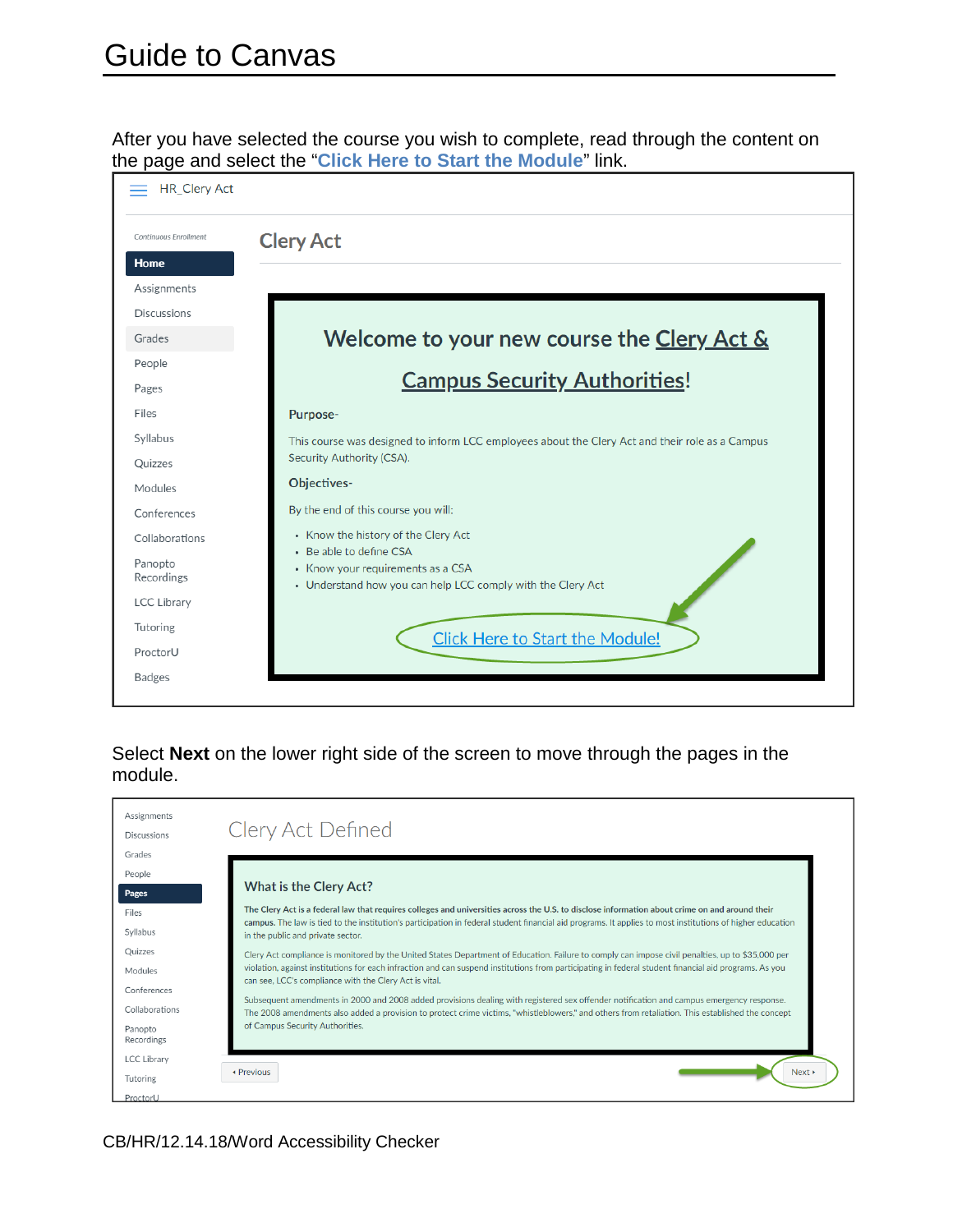After you have selected the course you wish to complete, read through the content on the page and select the "**Click Here to Start the Module**" link.



Select **Next** on the lower right side of the screen to move through the pages in the module.